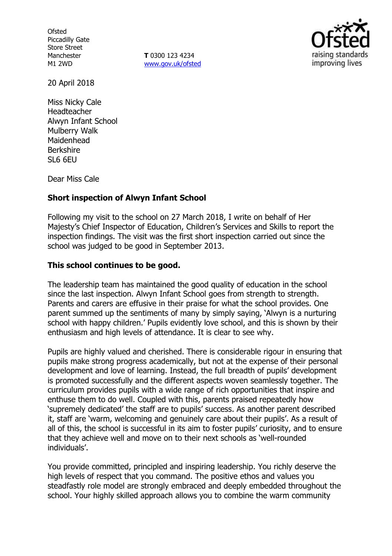**Ofsted** Piccadilly Gate Store Street Manchester M1 2WD

**T** 0300 123 4234 www.gov.uk/ofsted



20 April 2018

Miss Nicky Cale Headteacher Alwyn Infant School Mulberry Walk Maidenhead Berkshire SL6 6EU

Dear Miss Cale

### **Short inspection of Alwyn Infant School**

Following my visit to the school on 27 March 2018, I write on behalf of Her Majesty's Chief Inspector of Education, Children's Services and Skills to report the inspection findings. The visit was the first short inspection carried out since the school was judged to be good in September 2013.

### **This school continues to be good.**

The leadership team has maintained the good quality of education in the school since the last inspection. Alwyn Infant School goes from strength to strength. Parents and carers are effusive in their praise for what the school provides. One parent summed up the sentiments of many by simply saying, 'Alwyn is a nurturing school with happy children.' Pupils evidently love school, and this is shown by their enthusiasm and high levels of attendance. It is clear to see why.

Pupils are highly valued and cherished. There is considerable rigour in ensuring that pupils make strong progress academically, but not at the expense of their personal development and love of learning. Instead, the full breadth of pupils' development is promoted successfully and the different aspects woven seamlessly together. The curriculum provides pupils with a wide range of rich opportunities that inspire and enthuse them to do well. Coupled with this, parents praised repeatedly how 'supremely dedicated' the staff are to pupils' success. As another parent described it, staff are 'warm, welcoming and genuinely care about their pupils'. As a result of all of this, the school is successful in its aim to foster pupils' curiosity, and to ensure that they achieve well and move on to their next schools as 'well-rounded individuals'.

You provide committed, principled and inspiring leadership. You richly deserve the high levels of respect that you command. The positive ethos and values you steadfastly role model are strongly embraced and deeply embedded throughout the school. Your highly skilled approach allows you to combine the warm community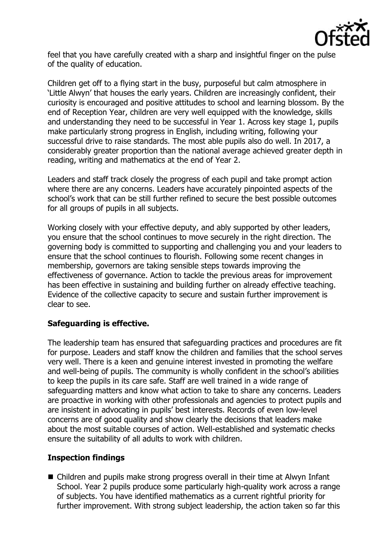

feel that you have carefully created with a sharp and insightful finger on the pulse of the quality of education.

Children get off to a flying start in the busy, purposeful but calm atmosphere in 'Little Alwyn' that houses the early years. Children are increasingly confident, their curiosity is encouraged and positive attitudes to school and learning blossom. By the end of Reception Year, children are very well equipped with the knowledge, skills and understanding they need to be successful in Year 1. Across key stage 1, pupils make particularly strong progress in English, including writing, following your successful drive to raise standards. The most able pupils also do well. In 2017, a considerably greater proportion than the national average achieved greater depth in reading, writing and mathematics at the end of Year 2.

Leaders and staff track closely the progress of each pupil and take prompt action where there are any concerns. Leaders have accurately pinpointed aspects of the school's work that can be still further refined to secure the best possible outcomes for all groups of pupils in all subjects.

Working closely with your effective deputy, and ably supported by other leaders, you ensure that the school continues to move securely in the right direction. The governing body is committed to supporting and challenging you and your leaders to ensure that the school continues to flourish. Following some recent changes in membership, governors are taking sensible steps towards improving the effectiveness of governance. Action to tackle the previous areas for improvement has been effective in sustaining and building further on already effective teaching. Evidence of the collective capacity to secure and sustain further improvement is clear to see.

# **Safeguarding is effective.**

The leadership team has ensured that safeguarding practices and procedures are fit for purpose. Leaders and staff know the children and families that the school serves very well. There is a keen and genuine interest invested in promoting the welfare and well-being of pupils. The community is wholly confident in the school's abilities to keep the pupils in its care safe. Staff are well trained in a wide range of safeguarding matters and know what action to take to share any concerns. Leaders are proactive in working with other professionals and agencies to protect pupils and are insistent in advocating in pupils' best interests. Records of even low-level concerns are of good quality and show clearly the decisions that leaders make about the most suitable courses of action. Well-established and systematic checks ensure the suitability of all adults to work with children.

# **Inspection findings**

■ Children and pupils make strong progress overall in their time at Alwyn Infant School. Year 2 pupils produce some particularly high-quality work across a range of subjects. You have identified mathematics as a current rightful priority for further improvement. With strong subject leadership, the action taken so far this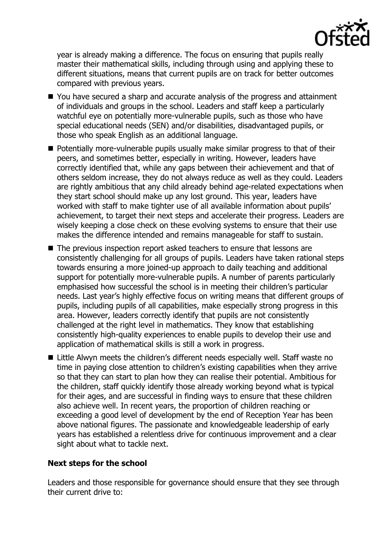

year is already making a difference. The focus on ensuring that pupils really master their mathematical skills, including through using and applying these to different situations, means that current pupils are on track for better outcomes compared with previous years.

- You have secured a sharp and accurate analysis of the progress and attainment of individuals and groups in the school. Leaders and staff keep a particularly watchful eye on potentially more-vulnerable pupils, such as those who have special educational needs (SEN) and/or disabilities, disadvantaged pupils, or those who speak English as an additional language.
- **Potentially more-vulnerable pupils usually make similar progress to that of their** peers, and sometimes better, especially in writing. However, leaders have correctly identified that, while any gaps between their achievement and that of others seldom increase, they do not always reduce as well as they could. Leaders are rightly ambitious that any child already behind age-related expectations when they start school should make up any lost ground. This year, leaders have worked with staff to make tighter use of all available information about pupils' achievement, to target their next steps and accelerate their progress. Leaders are wisely keeping a close check on these evolving systems to ensure that their use makes the difference intended and remains manageable for staff to sustain.
- The previous inspection report asked teachers to ensure that lessons are consistently challenging for all groups of pupils. Leaders have taken rational steps towards ensuring a more joined-up approach to daily teaching and additional support for potentially more-vulnerable pupils. A number of parents particularly emphasised how successful the school is in meeting their children's particular needs. Last year's highly effective focus on writing means that different groups of pupils, including pupils of all capabilities, make especially strong progress in this area. However, leaders correctly identify that pupils are not consistently challenged at the right level in mathematics. They know that establishing consistently high-quality experiences to enable pupils to develop their use and application of mathematical skills is still a work in progress.
- Little Alwyn meets the children's different needs especially well. Staff waste no time in paying close attention to children's existing capabilities when they arrive so that they can start to plan how they can realise their potential. Ambitious for the children, staff quickly identify those already working beyond what is typical for their ages, and are successful in finding ways to ensure that these children also achieve well. In recent years, the proportion of children reaching or exceeding a good level of development by the end of Reception Year has been above national figures. The passionate and knowledgeable leadership of early years has established a relentless drive for continuous improvement and a clear sight about what to tackle next.

# **Next steps for the school**

Leaders and those responsible for governance should ensure that they see through their current drive to: